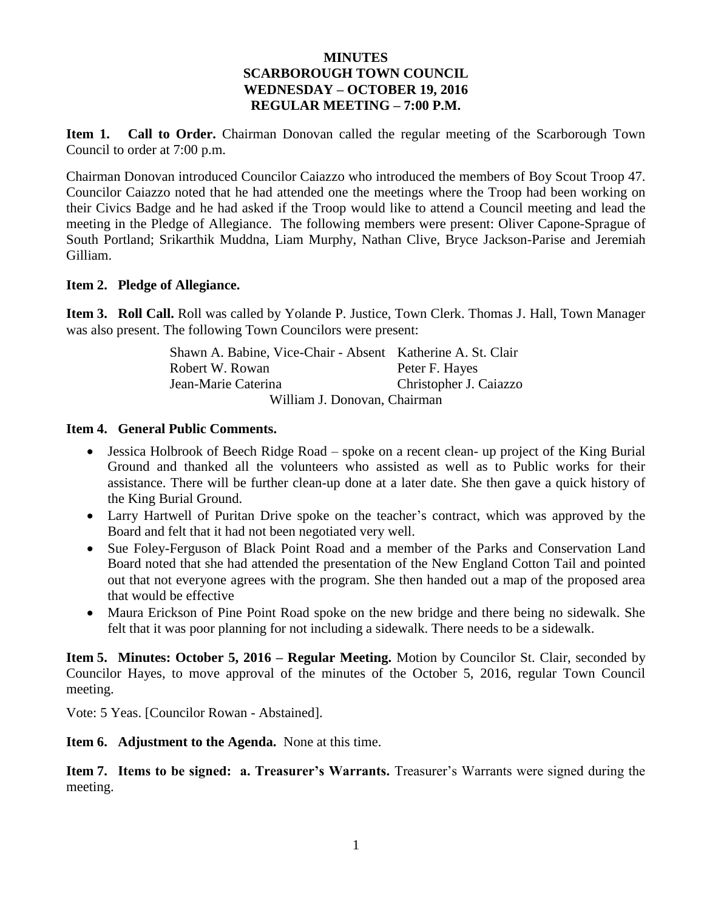#### **MINUTES SCARBOROUGH TOWN COUNCIL WEDNESDAY – OCTOBER 19, 2016 REGULAR MEETING – 7:00 P.M.**

**Item 1. Call to Order.** Chairman Donovan called the regular meeting of the Scarborough Town Council to order at 7:00 p.m.

Chairman Donovan introduced Councilor Caiazzo who introduced the members of Boy Scout Troop 47. Councilor Caiazzo noted that he had attended one the meetings where the Troop had been working on their Civics Badge and he had asked if the Troop would like to attend a Council meeting and lead the meeting in the Pledge of Allegiance. The following members were present: Oliver Capone-Sprague of South Portland; Srikarthik Muddna, Liam Murphy, Nathan Clive, Bryce Jackson-Parise and Jeremiah Gilliam.

#### **Item 2. Pledge of Allegiance.**

**Item 3. Roll Call.** Roll was called by Yolande P. Justice, Town Clerk. Thomas J. Hall, Town Manager was also present. The following Town Councilors were present:

| Shawn A. Babine, Vice-Chair - Absent Katherine A. St. Clair |                        |
|-------------------------------------------------------------|------------------------|
| Robert W. Rowan                                             | Peter F. Hayes         |
| Jean-Marie Caterina                                         | Christopher J. Caiazzo |
| William J. Donovan, Chairman                                |                        |

#### **Item 4. General Public Comments.**

- Jessica Holbrook of Beech Ridge Road spoke on a recent clean- up project of the King Burial Ground and thanked all the volunteers who assisted as well as to Public works for their assistance. There will be further clean-up done at a later date. She then gave a quick history of the King Burial Ground.
- Larry Hartwell of Puritan Drive spoke on the teacher's contract, which was approved by the Board and felt that it had not been negotiated very well.
- Sue Foley-Ferguson of Black Point Road and a member of the Parks and Conservation Land Board noted that she had attended the presentation of the New England Cotton Tail and pointed out that not everyone agrees with the program. She then handed out a map of the proposed area that would be effective
- Maura Erickson of Pine Point Road spoke on the new bridge and there being no sidewalk. She felt that it was poor planning for not including a sidewalk. There needs to be a sidewalk.

**Item 5. Minutes: October 5, 2016 – Regular Meeting.** Motion by Councilor St. Clair, seconded by Councilor Hayes, to move approval of the minutes of the October 5, 2016, regular Town Council meeting.

Vote: 5 Yeas. [Councilor Rowan - Abstained].

**Item 6. Adjustment to the Agenda.** None at this time.

**Item 7. Items to be signed: a. Treasurer's Warrants.** Treasurer's Warrants were signed during the meeting.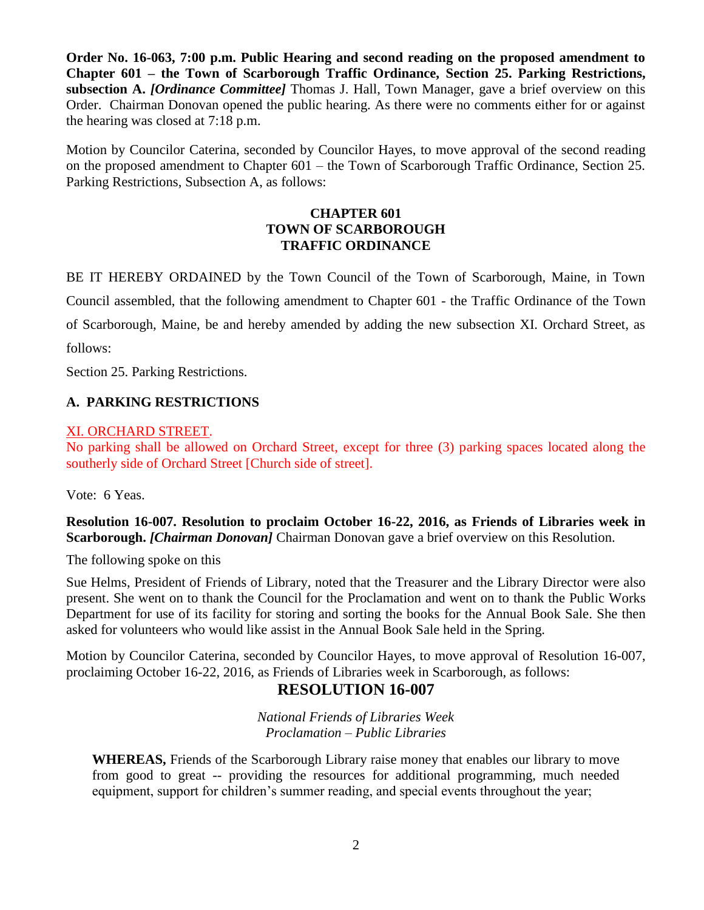**Order No. 16-063, 7:00 p.m. Public Hearing and second reading on the proposed amendment to Chapter 601 – the Town of Scarborough Traffic Ordinance, Section 25. Parking Restrictions, subsection A.** *[Ordinance Committee]* Thomas J. Hall, Town Manager, gave a brief overview on this Order. Chairman Donovan opened the public hearing. As there were no comments either for or against the hearing was closed at 7:18 p.m.

Motion by Councilor Caterina, seconded by Councilor Hayes, to move approval of the second reading on the proposed amendment to Chapter 601 – the Town of Scarborough Traffic Ordinance, Section 25. Parking Restrictions, Subsection A, as follows:

### **CHAPTER 601 TOWN OF SCARBOROUGH TRAFFIC ORDINANCE**

BE IT HEREBY ORDAINED by the Town Council of the Town of Scarborough, Maine, in Town Council assembled, that the following amendment to Chapter 601 - the Traffic Ordinance of the Town of Scarborough, Maine, be and hereby amended by adding the new subsection XI. Orchard Street, as follows:

Section 25. Parking Restrictions.

### **A. PARKING RESTRICTIONS**

#### XI. ORCHARD STREET.

No parking shall be allowed on Orchard Street, except for three (3) parking spaces located along the southerly side of Orchard Street [Church side of street].

Vote: 6 Yeas.

**Resolution 16-007. Resolution to proclaim October 16-22, 2016, as Friends of Libraries week in Scarborough.** *[Chairman Donovan]* Chairman Donovan gave a brief overview on this Resolution.

The following spoke on this

Sue Helms, President of Friends of Library, noted that the Treasurer and the Library Director were also present. She went on to thank the Council for the Proclamation and went on to thank the Public Works Department for use of its facility for storing and sorting the books for the Annual Book Sale. She then asked for volunteers who would like assist in the Annual Book Sale held in the Spring.

Motion by Councilor Caterina, seconded by Councilor Hayes, to move approval of Resolution 16-007, proclaiming October 16-22, 2016, as Friends of Libraries week in Scarborough, as follows:

# **RESOLUTION 16-007**

*National Friends of Libraries Week Proclamation – Public Libraries*

**WHEREAS,** Friends of the Scarborough Library raise money that enables our library to move from good to great -- providing the resources for additional programming, much needed equipment, support for children's summer reading, and special events throughout the year;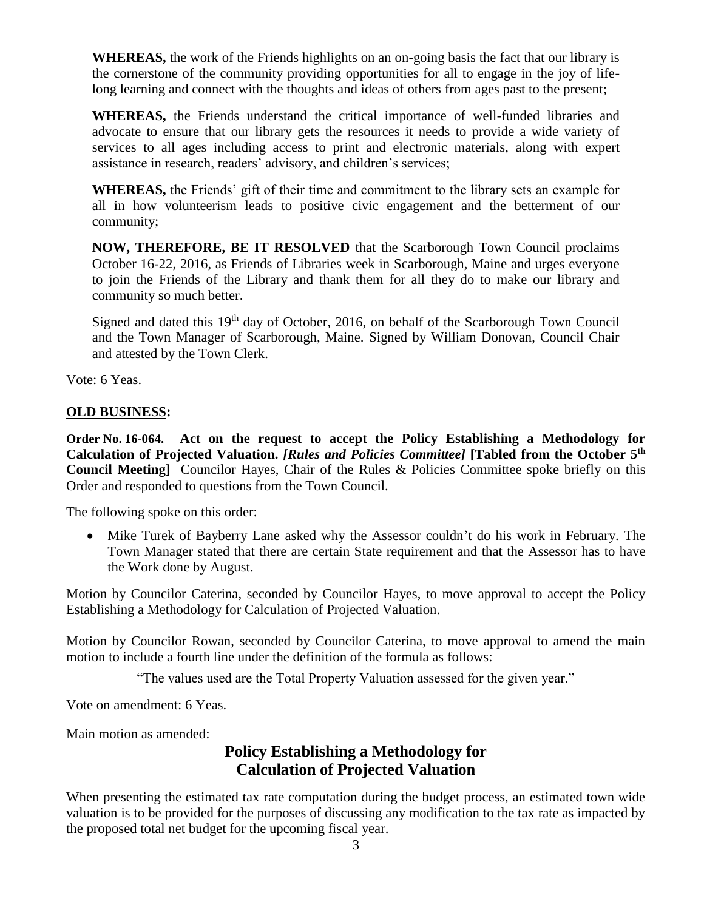**WHEREAS,** the work of the Friends highlights on an on-going basis the fact that our library is the cornerstone of the community providing opportunities for all to engage in the joy of lifelong learning and connect with the thoughts and ideas of others from ages past to the present;

**WHEREAS,** the Friends understand the critical importance of well-funded libraries and advocate to ensure that our library gets the resources it needs to provide a wide variety of services to all ages including access to print and electronic materials, along with expert assistance in research, readers' advisory, and children's services;

**WHEREAS,** the Friends' gift of their time and commitment to the library sets an example for all in how volunteerism leads to positive civic engagement and the betterment of our community;

**NOW, THEREFORE, BE IT RESOLVED** that the Scarborough Town Council proclaims October 16-22, 2016, as Friends of Libraries week in Scarborough, Maine and urges everyone to join the Friends of the Library and thank them for all they do to make our library and community so much better.

Signed and dated this  $19<sup>th</sup>$  day of October, 2016, on behalf of the Scarborough Town Council and the Town Manager of Scarborough, Maine. Signed by William Donovan, Council Chair and attested by the Town Clerk.

Vote: 6 Yeas.

### **OLD BUSINESS:**

**Order No. 16-064. Act on the request to accept the Policy Establishing a Methodology for Calculation of Projected Valuation.** *[Rules and Policies Committee]* **[Tabled from the October 5th Council Meeting]** Councilor Hayes, Chair of the Rules & Policies Committee spoke briefly on this Order and responded to questions from the Town Council.

The following spoke on this order:

 Mike Turek of Bayberry Lane asked why the Assessor couldn't do his work in February. The Town Manager stated that there are certain State requirement and that the Assessor has to have the Work done by August.

Motion by Councilor Caterina, seconded by Councilor Hayes, to move approval to accept the Policy Establishing a Methodology for Calculation of Projected Valuation.

Motion by Councilor Rowan, seconded by Councilor Caterina, to move approval to amend the main motion to include a fourth line under the definition of the formula as follows:

"The values used are the Total Property Valuation assessed for the given year."

Vote on amendment: 6 Yeas.

Main motion as amended:

# **Policy Establishing a Methodology for Calculation of Projected Valuation**

When presenting the estimated tax rate computation during the budget process, an estimated town wide valuation is to be provided for the purposes of discussing any modification to the tax rate as impacted by the proposed total net budget for the upcoming fiscal year.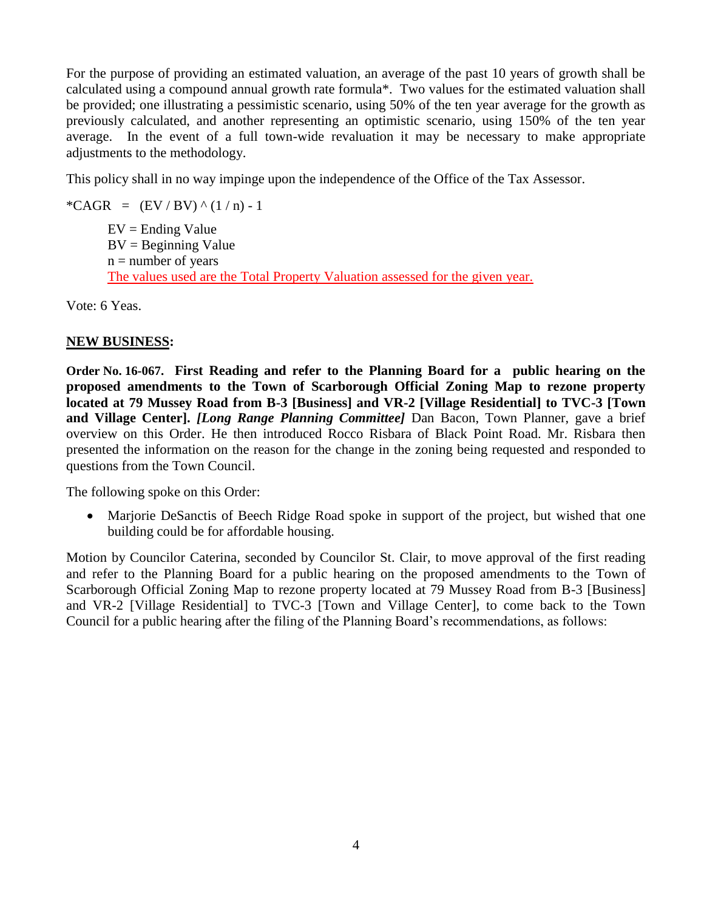For the purpose of providing an estimated valuation, an average of the past 10 years of growth shall be calculated using a compound annual growth rate formula\*. Two values for the estimated valuation shall be provided; one illustrating a pessimistic scenario, using 50% of the ten year average for the growth as previously calculated, and another representing an optimistic scenario, using 150% of the ten year average. In the event of a full town-wide revaluation it may be necessary to make appropriate adjustments to the methodology.

This policy shall in no way impinge upon the independence of the Office of the Tax Assessor.

\*CAGR =  $(EV / BV) \land (1/n) - 1$  $EV =$  Ending Value  $BV = Beginning Value$  $n =$  number of years The values used are the Total Property Valuation assessed for the given year.

Vote: 6 Yeas.

#### **NEW BUSINESS:**

**Order No. 16-067. First Reading and refer to the Planning Board for a public hearing on the proposed amendments to the Town of Scarborough Official Zoning Map to rezone property located at 79 Mussey Road from B-3 [Business] and VR-2 [Village Residential] to TVC-3 [Town and Village Center].** *[Long Range Planning Committee]* Dan Bacon, Town Planner, gave a brief overview on this Order. He then introduced Rocco Risbara of Black Point Road. Mr. Risbara then presented the information on the reason for the change in the zoning being requested and responded to questions from the Town Council.

The following spoke on this Order:

 Marjorie DeSanctis of Beech Ridge Road spoke in support of the project, but wished that one building could be for affordable housing.

Motion by Councilor Caterina, seconded by Councilor St. Clair, to move approval of the first reading and refer to the Planning Board for a public hearing on the proposed amendments to the Town of Scarborough Official Zoning Map to rezone property located at 79 Mussey Road from B-3 [Business] and VR-2 [Village Residential] to TVC-3 [Town and Village Center], to come back to the Town Council for a public hearing after the filing of the Planning Board's recommendations, as follows: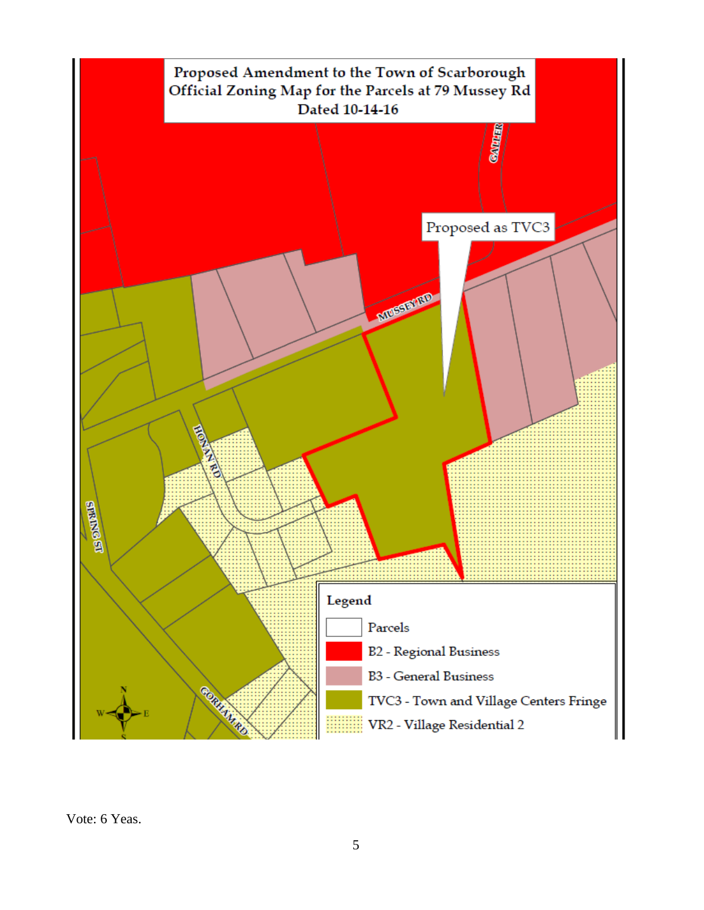

Vote: 6 Yeas.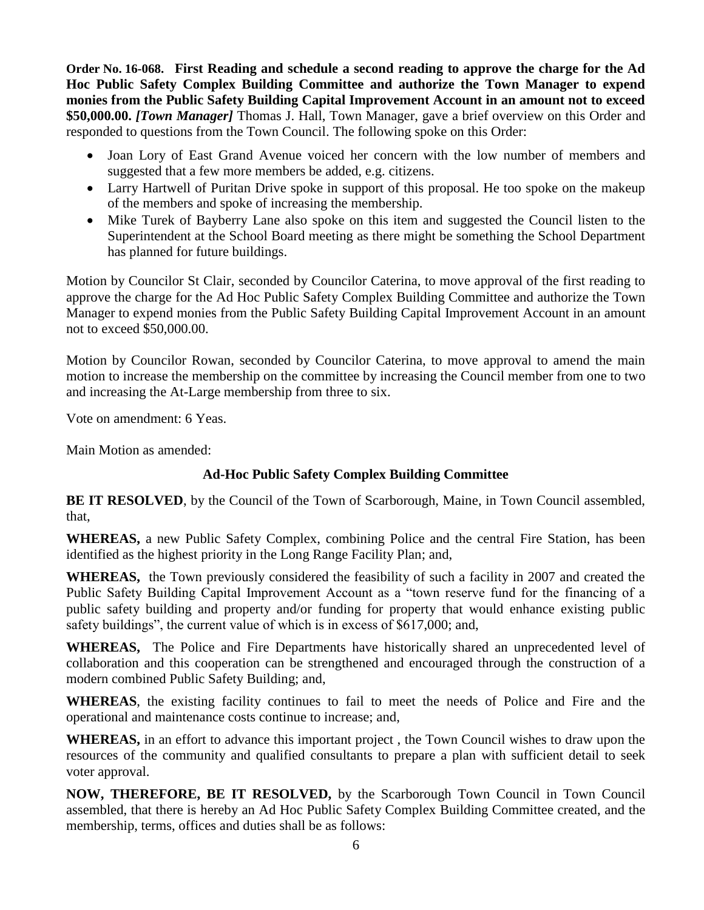**Order No. 16-068. First Reading and schedule a second reading to approve the charge for the Ad Hoc Public Safety Complex Building Committee and authorize the Town Manager to expend monies from the Public Safety Building Capital Improvement Account in an amount not to exceed \$50,000.00.** *[Town Manager]* Thomas J. Hall, Town Manager, gave a brief overview on this Order and responded to questions from the Town Council. The following spoke on this Order:

- Joan Lory of East Grand Avenue voiced her concern with the low number of members and suggested that a few more members be added, e.g. citizens.
- Larry Hartwell of Puritan Drive spoke in support of this proposal. He too spoke on the makeup of the members and spoke of increasing the membership.
- Mike Turek of Bayberry Lane also spoke on this item and suggested the Council listen to the Superintendent at the School Board meeting as there might be something the School Department has planned for future buildings.

Motion by Councilor St Clair, seconded by Councilor Caterina, to move approval of the first reading to approve the charge for the Ad Hoc Public Safety Complex Building Committee and authorize the Town Manager to expend monies from the Public Safety Building Capital Improvement Account in an amount not to exceed \$50,000.00.

Motion by Councilor Rowan, seconded by Councilor Caterina, to move approval to amend the main motion to increase the membership on the committee by increasing the Council member from one to two and increasing the At-Large membership from three to six.

Vote on amendment: 6 Yeas.

Main Motion as amended:

# **Ad-Hoc Public Safety Complex Building Committee**

**BE IT RESOLVED**, by the Council of the Town of Scarborough, Maine, in Town Council assembled, that,

**WHEREAS,** a new Public Safety Complex, combining Police and the central Fire Station, has been identified as the highest priority in the Long Range Facility Plan; and,

**WHEREAS,** the Town previously considered the feasibility of such a facility in 2007 and created the Public Safety Building Capital Improvement Account as a "town reserve fund for the financing of a public safety building and property and/or funding for property that would enhance existing public safety buildings", the current value of which is in excess of \$617,000; and,

**WHEREAS,** The Police and Fire Departments have historically shared an unprecedented level of collaboration and this cooperation can be strengthened and encouraged through the construction of a modern combined Public Safety Building; and,

**WHEREAS**, the existing facility continues to fail to meet the needs of Police and Fire and the operational and maintenance costs continue to increase; and,

**WHEREAS,** in an effort to advance this important project , the Town Council wishes to draw upon the resources of the community and qualified consultants to prepare a plan with sufficient detail to seek voter approval.

**NOW, THEREFORE, BE IT RESOLVED,** by the Scarborough Town Council in Town Council assembled, that there is hereby an Ad Hoc Public Safety Complex Building Committee created, and the membership, terms, offices and duties shall be as follows: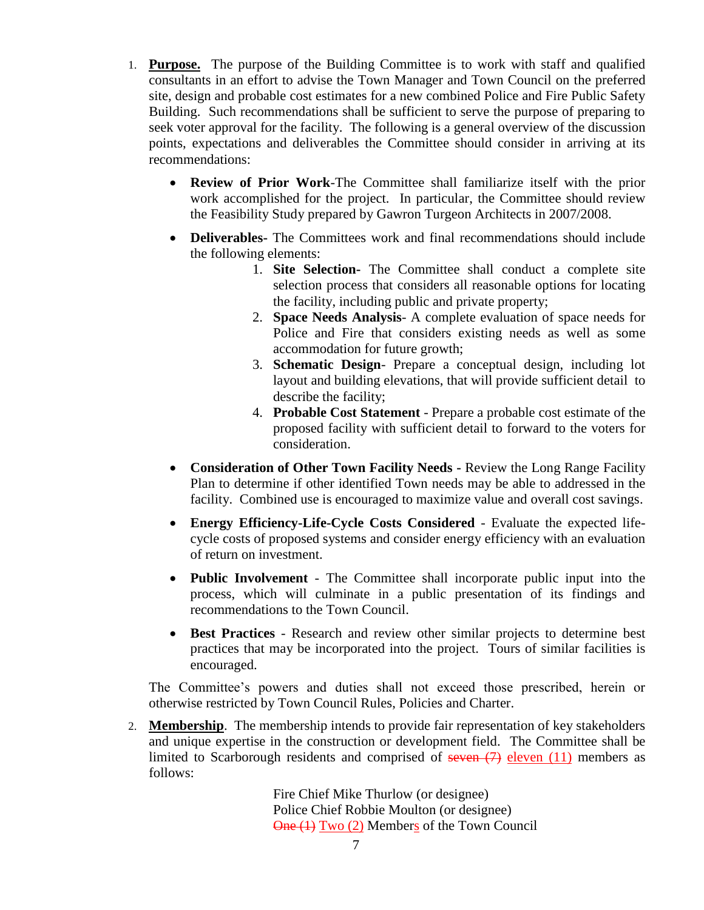- 1. **Purpose.** The purpose of the Building Committee is to work with staff and qualified consultants in an effort to advise the Town Manager and Town Council on the preferred site, design and probable cost estimates for a new combined Police and Fire Public Safety Building. Such recommendations shall be sufficient to serve the purpose of preparing to seek voter approval for the facility. The following is a general overview of the discussion points, expectations and deliverables the Committee should consider in arriving at its recommendations:
	- **Review of Prior Work**-The Committee shall familiarize itself with the prior work accomplished for the project. In particular, the Committee should review the Feasibility Study prepared by Gawron Turgeon Architects in 2007/2008.
	- **Deliverables-** The Committees work and final recommendations should include the following elements:
		- 1. **Site Selection-** The Committee shall conduct a complete site selection process that considers all reasonable options for locating the facility, including public and private property;
		- 2. **Space Needs Analysis** A complete evaluation of space needs for Police and Fire that considers existing needs as well as some accommodation for future growth;
		- 3. **Schematic Design** Prepare a conceptual design, including lot layout and building elevations, that will provide sufficient detail to describe the facility;
		- 4. **Probable Cost Statement** Prepare a probable cost estimate of the proposed facility with sufficient detail to forward to the voters for consideration.
	- **Consideration of Other Town Facility Needs -** Review the Long Range Facility Plan to determine if other identified Town needs may be able to addressed in the facility. Combined use is encouraged to maximize value and overall cost savings.
	- **Energy Efficiency-Life-Cycle Costs Considered** Evaluate the expected lifecycle costs of proposed systems and consider energy efficiency with an evaluation of return on investment.
	- **Public Involvement** The Committee shall incorporate public input into the process, which will culminate in a public presentation of its findings and recommendations to the Town Council.
	- **Best Practices** Research and review other similar projects to determine best practices that may be incorporated into the project. Tours of similar facilities is encouraged.

The Committee's powers and duties shall not exceed those prescribed, herein or otherwise restricted by Town Council Rules, Policies and Charter.

2. **Membership**. The membership intends to provide fair representation of key stakeholders and unique expertise in the construction or development field. The Committee shall be limited to Scarborough residents and comprised of seven  $(7)$  eleven  $(11)$  members as follows:

> Fire Chief Mike Thurlow (or designee) Police Chief Robbie Moulton (or designee) One (1) Two (2) Members of the Town Council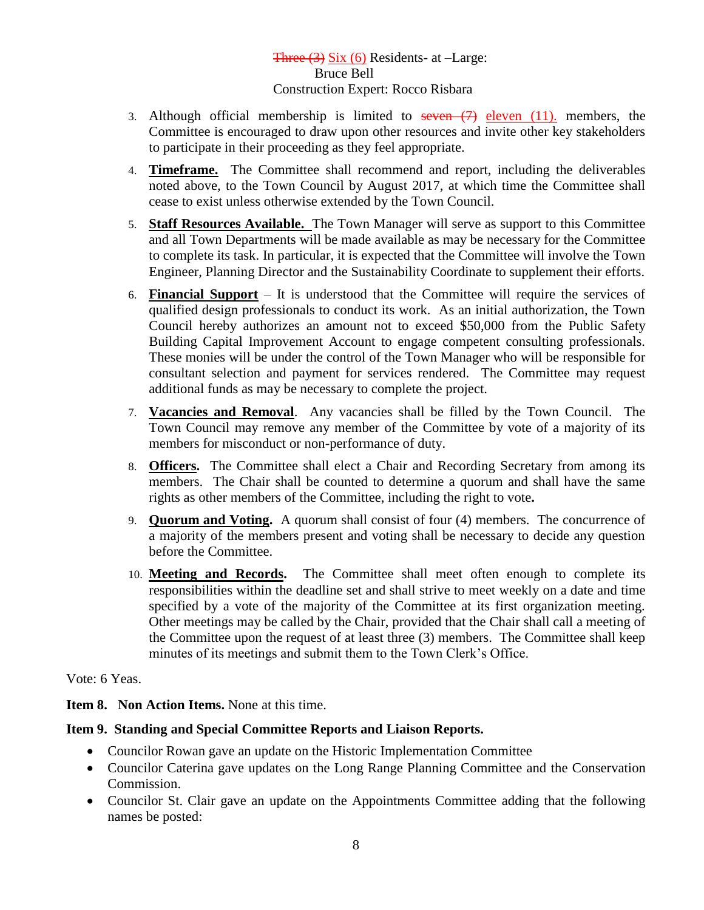### Three (3) Six (6) Residents- at –Large: Bruce Bell Construction Expert: Rocco Risbara

- 3. Although official membership is limited to seven  $(7)$  eleven  $(11)$ . members, the Committee is encouraged to draw upon other resources and invite other key stakeholders to participate in their proceeding as they feel appropriate.
- 4. **Timeframe.** The Committee shall recommend and report, including the deliverables noted above, to the Town Council by August 2017, at which time the Committee shall cease to exist unless otherwise extended by the Town Council.
- 5. **Staff Resources Available.** The Town Manager will serve as support to this Committee and all Town Departments will be made available as may be necessary for the Committee to complete its task. In particular, it is expected that the Committee will involve the Town Engineer, Planning Director and the Sustainability Coordinate to supplement their efforts.
- 6. **Financial Support** It is understood that the Committee will require the services of qualified design professionals to conduct its work. As an initial authorization, the Town Council hereby authorizes an amount not to exceed \$50,000 from the Public Safety Building Capital Improvement Account to engage competent consulting professionals. These monies will be under the control of the Town Manager who will be responsible for consultant selection and payment for services rendered. The Committee may request additional funds as may be necessary to complete the project.
- 7. **Vacancies and Removal**. Any vacancies shall be filled by the Town Council. The Town Council may remove any member of the Committee by vote of a majority of its members for misconduct or non-performance of duty.
- 8. **Officers.** The Committee shall elect a Chair and Recording Secretary from among its members. The Chair shall be counted to determine a quorum and shall have the same rights as other members of the Committee, including the right to vote**.**
- 9. **Quorum and Voting.** A quorum shall consist of four (4) members. The concurrence of a majority of the members present and voting shall be necessary to decide any question before the Committee.
- 10. **Meeting and Records.** The Committee shall meet often enough to complete its responsibilities within the deadline set and shall strive to meet weekly on a date and time specified by a vote of the majority of the Committee at its first organization meeting. Other meetings may be called by the Chair, provided that the Chair shall call a meeting of the Committee upon the request of at least three (3) members. The Committee shall keep minutes of its meetings and submit them to the Town Clerk's Office.

Vote: 6 Yeas.

**Item 8. Non Action Items.** None at this time.

### **Item 9. Standing and Special Committee Reports and Liaison Reports.**

- Councilor Rowan gave an update on the Historic Implementation Committee
- Councilor Caterina gave updates on the Long Range Planning Committee and the Conservation Commission.
- Councilor St. Clair gave an update on the Appointments Committee adding that the following names be posted: